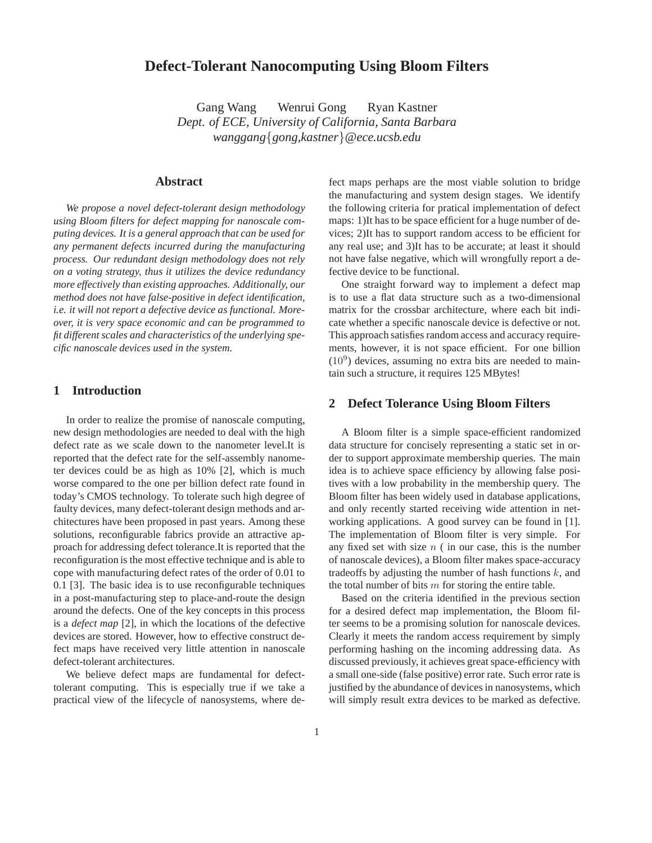# **Defect-Tolerant Nanocomputing Using Bloom Filters**

Gang Wang Wenrui Gong Ryan Kastner *Dept. of ECE, University of California, Santa Barbara wanggang*{*gong,kastner*}*@ece.ucsb.edu*

## **Abstract**

*We propose a novel defect-tolerant design methodology using Bloom filters for defect mapping for nanoscale computing devices. It is a general approach that can be used for any permanent defects incurred during the manufacturing process. Our redundant design methodology does not rely on a voting strategy, thus it utilizes the device redundancy more effectively than existing approaches. Additionally, our method does not have false-positive in defect identification, i.e. it will not report a defective device as functional. Moreover, it is very space economic and can be programmed to fit different scales and characteristics of the underlying specific nanoscale devices used in the system.*

## **1 Introduction**

In order to realize the promise of nanoscale computing, new design methodologies are needed to deal with the high defect rate as we scale down to the nanometer level.It is reported that the defect rate for the self-assembly nanometer devices could be as high as 10% [2], which is much worse compared to the one per billion defect rate found in today's CMOS technology. To tolerate such high degree of faulty devices, many defect-tolerant design methods and architectures have been proposed in past years. Among these solutions, reconfigurable fabrics provide an attractive approach for addressing defect tolerance.It is reported that the reconfiguration is the most effective technique and is able to cope with manufacturing defect rates of the order of 0.01 to 0.1 [3]. The basic idea is to use reconfigurable techniques in a post-manufacturing step to place-and-route the design around the defects. One of the key concepts in this process is a *defect map* [2], in which the locations of the defective devices are stored. However, how to effective construct defect maps have received very little attention in nanoscale defect-tolerant architectures.

We believe defect maps are fundamental for defecttolerant computing. This is especially true if we take a practical view of the lifecycle of nanosystems, where defect maps perhaps are the most viable solution to bridge the manufacturing and system design stages. We identify the following criteria for pratical implementation of defect maps: 1)It has to be space efficient for a huge number of devices; 2)It has to support random access to be efficient for any real use; and 3)It has to be accurate; at least it should not have false negative, which will wrongfully report a defective device to be functional.

One straight forward way to implement a defect map is to use a flat data structure such as a two-dimensional matrix for the crossbar architecture, where each bit indicate whether a specific nanoscale device is defective or not. This approach satisfies random access and accuracy requirements, however, it is not space efficient. For one billion (10<sup>9</sup> ) devices, assuming no extra bits are needed to maintain such a structure, it requires 125 MBytes!

### **2 Defect Tolerance Using Bloom Filters**

A Bloom filter is a simple space-efficient randomized data structure for concisely representing a static set in order to support approximate membership queries. The main idea is to achieve space efficiency by allowing false positives with a low probability in the membership query. The Bloom filter has been widely used in database applications, and only recently started receiving wide attention in networking applications. A good survey can be found in [1]. The implementation of Bloom filter is very simple. For any fixed set with size  $n$  ( in our case, this is the number of nanoscale devices), a Bloom filter makes space-accuracy tradeoffs by adjusting the number of hash functions  $k$ , and the total number of bits  $m$  for storing the entire table.

Based on the criteria identified in the previous section for a desired defect map implementation, the Bloom filter seems to be a promising solution for nanoscale devices. Clearly it meets the random access requirement by simply performing hashing on the incoming addressing data. As discussed previously, it achieves great space-efficiency with a small one-side (false positive) error rate. Such error rate is justified by the abundance of devices in nanosystems, which will simply result extra devices to be marked as defective.